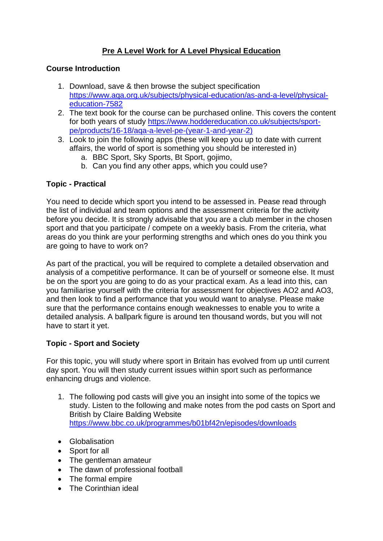# **Pre A Level Work for A Level Physical Education**

#### **Course Introduction**

- 1. Download, save & then browse the subject specification [https://www.aqa.org.uk/subjects/physical-education/as-and-a-level/physical](https://www.aqa.org.uk/subjects/physical-education/as-and-a-level/physical-education-7582)[education-7582](https://www.aqa.org.uk/subjects/physical-education/as-and-a-level/physical-education-7582)
- 2. The text book for the course can be purchased online. This covers the content for both years of study [https://www.hoddereducation.co.uk/subjects/sport](https://www.hoddereducation.co.uk/subjects/sport-pe/products/16-18/aqa-a-level-pe-(year-1-and-year-2))[pe/products/16-18/aqa-a-level-pe-\(year-1-and-year-2\)](https://www.hoddereducation.co.uk/subjects/sport-pe/products/16-18/aqa-a-level-pe-(year-1-and-year-2))
- 3. Look to join the following apps (these will keep you up to date with current affairs, the world of sport is something you should be interested in)
	- a. BBC Sport, Sky Sports, Bt Sport, gojimo,
	- b. Can you find any other apps, which you could use?

#### **Topic - Practical**

You need to decide which sport you intend to be assessed in. Pease read through the list of individual and team options and the assessment criteria for the activity before you decide. It is strongly advisable that you are a club member in the chosen sport and that you participate / compete on a weekly basis. From the criteria, what areas do you think are your performing strengths and which ones do you think you are going to have to work on?

As part of the practical, you will be required to complete a detailed observation and analysis of a competitive performance. It can be of yourself or someone else. It must be on the sport you are going to do as your practical exam. As a lead into this, can you familiarise yourself with the criteria for assessment for objectives AO2 and AO3, and then look to find a performance that you would want to analyse. Please make sure that the performance contains enough weaknesses to enable you to write a detailed analysis. A ballpark figure is around ten thousand words, but you will not have to start it yet.

## **Topic - Sport and Society**

For this topic, you will study where sport in Britain has evolved from up until current day sport. You will then study current issues within sport such as performance enhancing drugs and violence.

- 1. The following pod casts will give you an insight into some of the topics we study. Listen to the following and make notes from the pod casts on Sport and British by Claire Balding Website <https://www.bbc.co.uk/programmes/b01bf42n/episodes/downloads>
- Globalisation
- Sport for all
- The gentleman amateur
- The dawn of professional football
- The formal empire
- The Corinthian ideal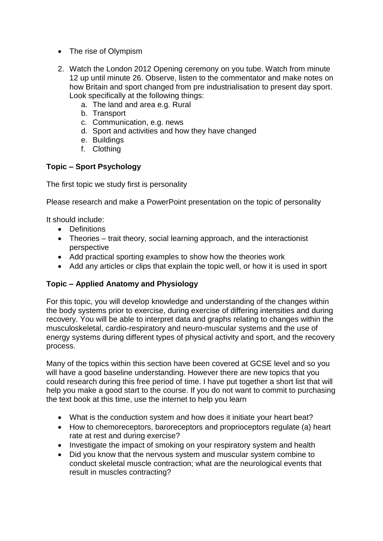- The rise of Olympism
- 2. Watch the London 2012 Opening ceremony on you tube. Watch from minute 12 up until minute 26. Observe, listen to the commentator and make notes on how Britain and sport changed from pre industrialisation to present day sport. Look specifically at the following things:
	- a. The land and area e.g. Rural
	- b. Transport
	- c. Communication, e.g. news
	- d. Sport and activities and how they have changed
	- e. Buildings
	- f. Clothing

#### **Topic – Sport Psychology**

The first topic we study first is personality

Please research and make a PowerPoint presentation on the topic of personality

It should include:

- Definitions
- Theories trait theory, social learning approach, and the interactionist perspective
- Add practical sporting examples to show how the theories work
- Add any articles or clips that explain the topic well, or how it is used in sport

## **Topic – Applied Anatomy and Physiology**

For this topic, you will develop knowledge and understanding of the changes within the body systems prior to exercise, during exercise of differing intensities and during recovery. You will be able to interpret data and graphs relating to changes within the musculoskeletal, cardio-respiratory and neuro-muscular systems and the use of energy systems during different types of physical activity and sport, and the recovery process.

Many of the topics within this section have been covered at GCSE level and so you will have a good baseline understanding. However there are new topics that you could research during this free period of time. I have put together a short list that will help you make a good start to the course. If you do not want to commit to purchasing the text book at this time, use the internet to help you learn

- What is the conduction system and how does it initiate your heart beat?
- How to chemoreceptors, baroreceptors and proprioceptors regulate (a) heart rate at rest and during exercise?
- Investigate the impact of smoking on your respiratory system and health
- Did you know that the nervous system and muscular system combine to conduct skeletal muscle contraction; what are the neurological events that result in muscles contracting?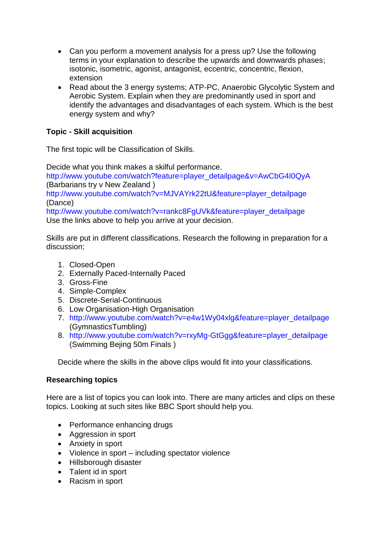- Can you perform a movement analysis for a press up? Use the following terms in your explanation to describe the upwards and downwards phases; isotonic, isometric, agonist, antagonist, eccentric, concentric, flexion, extension
- Read about the 3 energy systems; ATP-PC, Anaerobic Glycolytic System and Aerobic System. Explain when they are predominantly used in sport and identify the advantages and disadvantages of each system. Which is the best energy system and why?

## **Topic - Skill acquisition**

The first topic will be Classification of Skills.

Decide what you think makes a skilful performance.

[http://www.youtube.com/watch?feature=player\\_detailpage&v=AwCbG4I0QyA](http://www.youtube.com/watch?feature=player_detailpage&v=AwCbG4I0QyA) (Barbarians try v New Zealand )

[http://www.youtube.com/watch?v=MJVAYrk22tU&feature=player\\_detailpage](http://www.youtube.com/watch?v=MJVAYrk22tU&feature=player_detailpage) (Dance)

[http://www.youtube.com/watch?v=rankc8FgUVk&feature=player\\_detailpage](http://www.youtube.com/watch?v=rankc8FgUVk&feature=player_detailpage) Use the links above to help you arrive at your decision.

Skills are put in different classifications. Research the following in preparation for a discussion;

- 1. Closed-Open
- 2. Externally Paced-Internally Paced
- 3. Gross-Fine
- 4. Simple-Complex
- 5. Discrete-Serial-Continuous
- 6. Low Organisation-High Organisation
- 7. [http://www.youtube.com/watch?v=e4w1Wy04xlg&feature=player\\_detailpage](http://www.youtube.com/watch?v=e4w1Wy04xlg&feature=player_detailpage) (GymnasticsTumbling)
- 8. [http://www.youtube.com/watch?v=rxyMg-GtGgg&feature=player\\_detailpage](http://www.youtube.com/watch?v=rxyMg-GtGgg&feature=player_detailpage) (Swimming Bejing 50m Finals )

Decide where the skills in the above clips would fit into your classifications.

## **Researching topics**

Here are a list of topics you can look into. There are many articles and clips on these topics. Looking at such sites like BBC Sport should help you.

- Performance enhancing drugs
- Aggression in sport
- Anxiety in sport
- Violence in sport including spectator violence
- Hillsborough disaster
- Talent id in sport
- Racism in sport